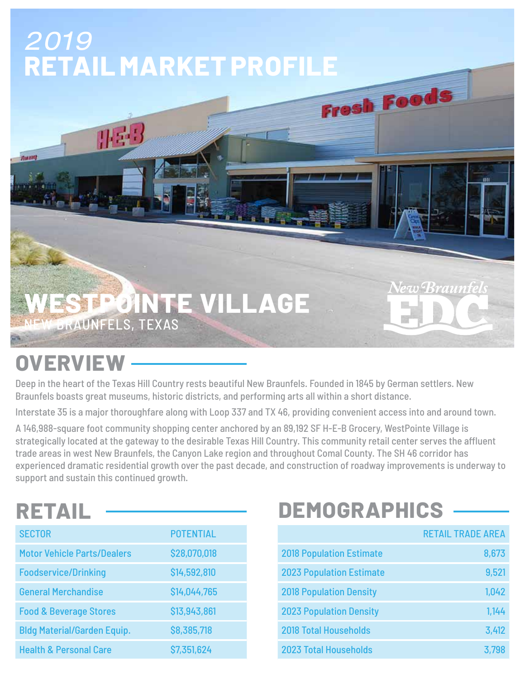# 2019 **RETAIL MARKET PROFILE** Fresh Foods

**IKE-**

#### **WESTPOINTE VILLAGE** BRAUNFELS, TEXAS

## **OVERVIEW**

линер

Deep in the heart of the Texas Hill Country rests beautiful New Braunfels. Founded in 1845 by German settlers. New Braunfels boasts great museums, historic districts, and performing arts all within a short distance.

Interstate 35 is a major thoroughfare along with Loop 337 and TX 46, providing convenient access into and around town.

A 146,988-square foot community shopping center anchored by an 89,192 SF H-E-B Grocery, WestPointe Village is strategically located at the gateway to the desirable Texas Hill Country. This community retail center serves the affluent trade areas in west New Braunfels, the Canyon Lake region and throughout Comal County. The SH 46 corridor has experienced dramatic residential growth over the past decade, and construction of roadway improvements is underway to support and sustain this continued growth.

## **RETAIL**

| <b>SECTOR</b>                      | <b>POTENTIAL</b> |
|------------------------------------|------------------|
|                                    |                  |
| <b>Motor Vehicle Parts/Dealers</b> | \$28,070,018     |
| <b>Foodservice/Drinking</b>        | \$14,592,810     |
| <b>General Merchandise</b>         | \$14,044,765     |
| <b>Food &amp; Beverage Stores</b>  | \$13,943,861     |
| <b>Bldg Material/Garden Equip.</b> | \$8,385,718      |
| <b>Health &amp; Personal Care</b>  | \$7,351,624      |

## **DEMOGRAPHICS**

|                                 | <b>RETAIL TRADE AREA</b> |
|---------------------------------|--------------------------|
| <b>2018 Population Estimate</b> | 8,673                    |
| <b>2023 Population Estimate</b> | 9,521                    |
| <b>2018 Population Density</b>  | 1,042                    |
| <b>2023 Population Density</b>  | 1,144                    |
| <b>2018 Total Households</b>    | 3,412                    |
| <b>2023 Total Households</b>    | 3,798                    |

New Braunfels